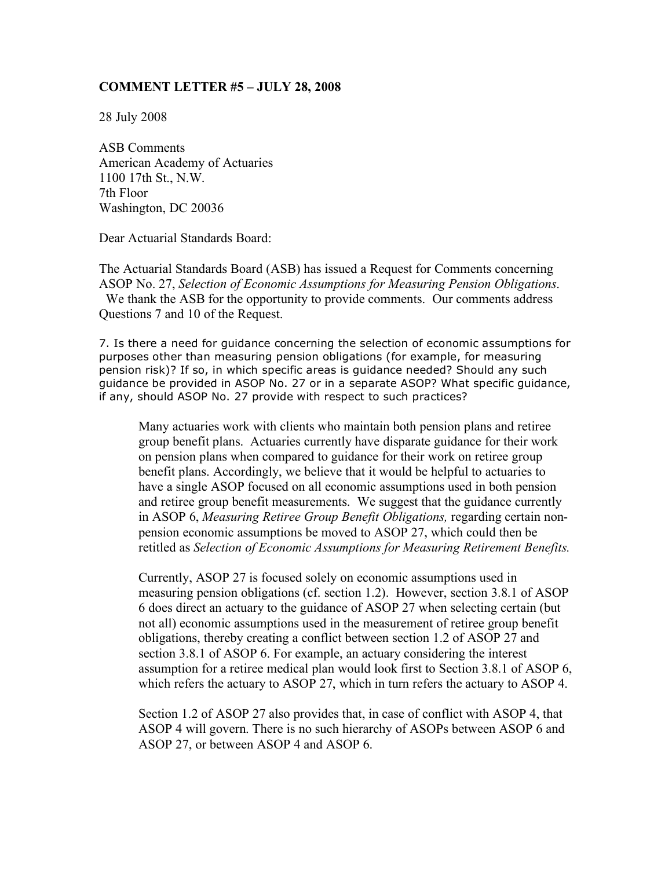## **COMMENT LETTER #5 – JULY 28, 2008**

28 July 2008

ASB Comments American Academy of Actuaries 1100 17th St., N.W. 7th Floor Washington, DC 20036

Dear Actuarial Standards Board:

The Actuarial Standards Board (ASB) has issued a Request for Comments concerning ASOP No. 27, *Selection of Economic Assumptions for Measuring Pension Obligations*. We thank the ASB for the opportunity to provide comments. Our comments address Questions 7 and 10 of the Request.

7. Is there a need for guidance concerning the selection of economic assumptions for purposes other than measuring pension obligations (for example, for measuring pension risk)? If so, in which specific areas is guidance needed? Should any such guidance be provided in ASOP No. 27 or in a separate ASOP? What specific guidance, if any, should ASOP No. 27 provide with respect to such practices?

Many actuaries work with clients who maintain both pension plans and retiree group benefit plans. Actuaries currently have disparate guidance for their work on pension plans when compared to guidance for their work on retiree group benefit plans. Accordingly, we believe that it would be helpful to actuaries to have a single ASOP focused on all economic assumptions used in both pension and retiree group benefit measurements. We suggest that the guidance currently in ASOP 6, *Measuring Retiree Group Benefit Obligations,* regarding certain nonpension economic assumptions be moved to ASOP 27, which could then be retitled as *Selection of Economic Assumptions for Measuring Retirement Benefits.*

Currently, ASOP 27 is focused solely on economic assumptions used in measuring pension obligations (cf. section 1.2). However, section 3.8.1 of ASOP 6 does direct an actuary to the guidance of ASOP 27 when selecting certain (but not all) economic assumptions used in the measurement of retiree group benefit obligations, thereby creating a conflict between section 1.2 of ASOP 27 and section 3.8.1 of ASOP 6. For example, an actuary considering the interest assumption for a retiree medical plan would look first to Section 3.8.1 of ASOP 6, which refers the actuary to ASOP 27, which in turn refers the actuary to ASOP 4.

Section 1.2 of ASOP 27 also provides that, in case of conflict with ASOP 4, that ASOP 4 will govern. There is no such hierarchy of ASOPs between ASOP 6 and ASOP 27, or between ASOP 4 and ASOP 6.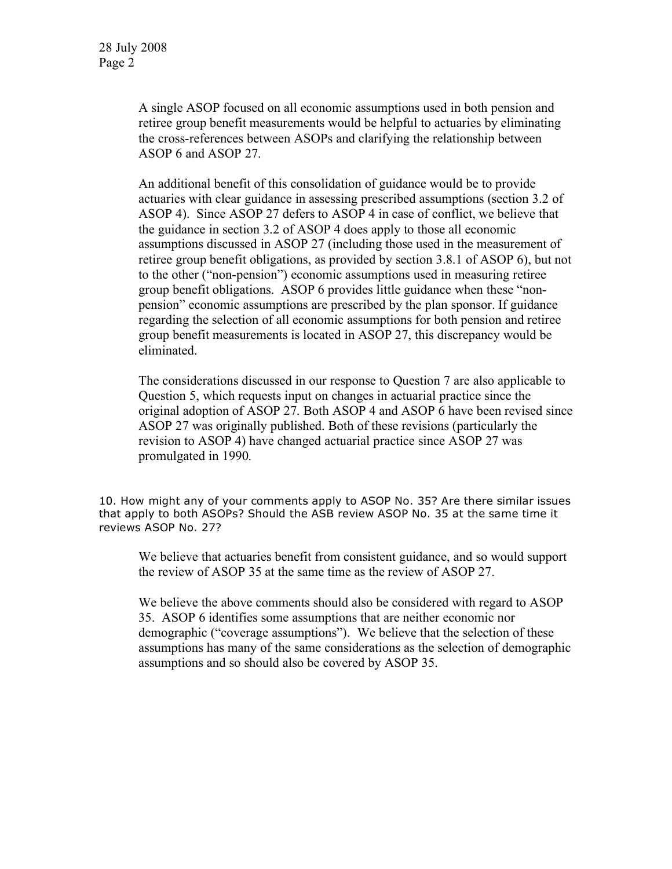A single ASOP focused on all economic assumptions used in both pension and retiree group benefit measurements would be helpful to actuaries by eliminating the cross-references between ASOPs and clarifying the relationship between ASOP 6 and ASOP 27.

An additional benefit of this consolidation of guidance would be to provide actuaries with clear guidance in assessing prescribed assumptions (section 3.2 of ASOP 4). Since ASOP 27 defers to ASOP 4 in case of conflict, we believe that the guidance in section 3.2 of ASOP 4 does apply to those all economic assumptions discussed in ASOP 27 (including those used in the measurement of retiree group benefit obligations, as provided by section 3.8.1 of ASOP 6), but not to the other ("non-pension") economic assumptions used in measuring retiree group benefit obligations. ASOP 6 provides little guidance when these "nonpension" economic assumptions are prescribed by the plan sponsor. If guidance regarding the selection of all economic assumptions for both pension and retiree group benefit measurements is located in ASOP 27, this discrepancy would be eliminated.

The considerations discussed in our response to Question 7 are also applicable to Question 5, which requests input on changes in actuarial practice since the original adoption of ASOP 27. Both ASOP 4 and ASOP 6 have been revised since ASOP 27 was originally published. Both of these revisions (particularly the revision to ASOP 4) have changed actuarial practice since ASOP 27 was promulgated in 1990.

10. How might any of your comments apply to ASOP No. 35? Are there similar issues that apply to both ASOPs? Should the ASB review ASOP No. 35 at the same time it reviews ASOP No. 27?

We believe that actuaries benefit from consistent guidance, and so would support the review of ASOP 35 at the same time as the review of ASOP 27.

We believe the above comments should also be considered with regard to ASOP 35. ASOP 6 identifies some assumptions that are neither economic nor demographic ("coverage assumptions"). We believe that the selection of these assumptions has many of the same considerations as the selection of demographic assumptions and so should also be covered by ASOP 35.